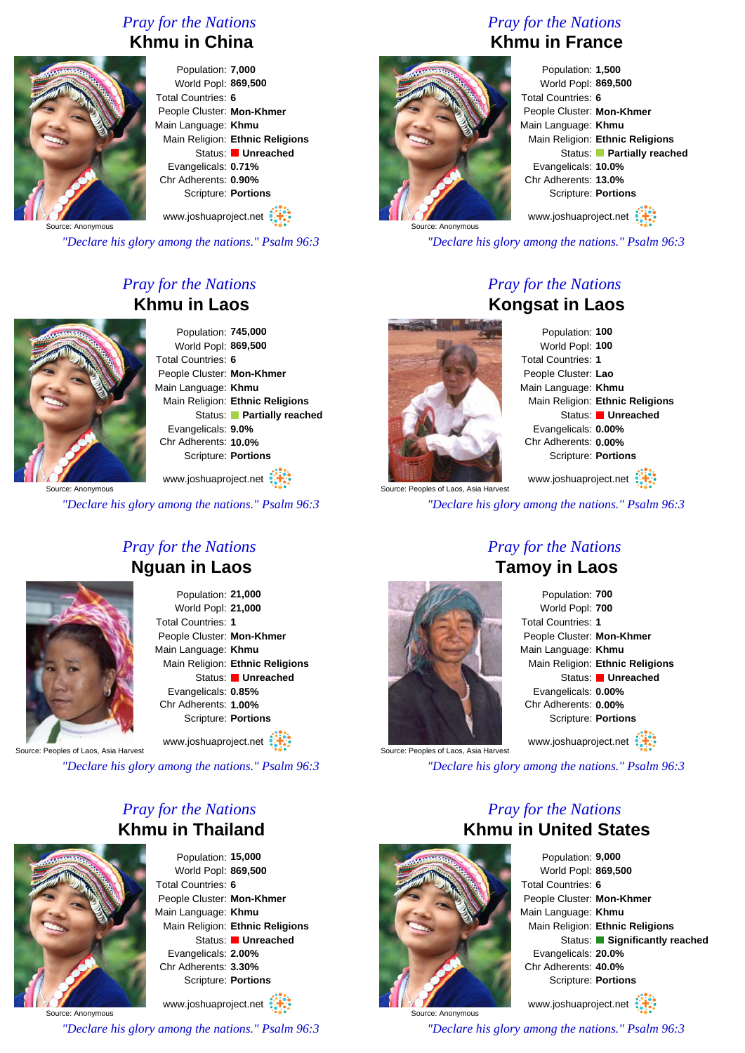#### *Pray for the Nations* **Khmu in China**



Population: **7,000** World Popl: **869,500** Total Countries: **6** People Cluster: **Mon-Khmer** Main Language: **Khmu** Main Religion: **Ethnic Religions** Status: **Unreached** Evangelicals: **0.71%** Chr Adherents: **0.90%** Scripture: **Portions**

www.joshuaproject.net

Source: Anonymous

*"Declare his glory among the nations." Psalm 96:3*

### *Pray for the Nations* **Khmu in Laos**



Population: **745,000** World Popl: **869,500** Total Countries: **6** People Cluster: **Mon-Khmer** Main Language: **Khmu** Main Religion: **Ethnic Religions** Status: **Partially reached** Evangelicals: **9.0%** Chr Adherents: **10.0%** Scripture: **Portions**

Source: Anonymous www.joshuaproject.net

*"Declare his glory among the nations." Psalm 96:3*



#### *Pray for the Nations* **Nguan in Laos**

Population: **21,000** World Popl: **21,000** Total Countries: **1** People Cluster: **Mon-Khmer** Main Language: **Khmu** Main Religion: **Ethnic Religions** Status: **Unreached** Evangelicals: **0.85%** Chr Adherents: **1.00%** Scripture: **Portions**

www.joshuaproject.net

Source: Peoples of Laos, Asia Harvest

*"Declare his glory among the nations." Psalm 96:3*

#### *Pray for the Nations* **Khmu in Thailand**



Population: **15,000** World Popl: **869,500** Total Countries: **6** People Cluster: **Mon-Khmer** Main Language: **Khmu** Main Religion: **Ethnic Religions** Status: **Unreached** Evangelicals: **2.00%** Chr Adherents: **3.30%** Scripture: **Portions**

Source: Anonymous www.joshuaproject.net *"Declare his glory among the nations." Psalm 96:3*

#### *Pray for the Nations* **Khmu in France**



Population: **1,500** World Popl: **869,500** Total Countries: **6** People Cluster: **Mon-Khmer** Main Language: **Khmu** Main Religion: **Ethnic Religions** Status: **Partially reached** Evangelicals: **10.0%** Chr Adherents: **13.0%** Scripture: **Portions**

www.joshuaproject.net

*"Declare his glory among the nations." Psalm 96:3*

## *Pray for the Nations* **Kongsat in Laos**



Population: **100** World Popl: **100** Total Countries: **1** People Cluster: **Lao** Main Language: **Khmu** Main Religion: **Ethnic Religions** Status: **Unreached** Evangelicals: **0.00%** Chr Adherents: **0.00%** Scripture: **Portions** www.joshuaproject.net

Source: Peoples of Laos, Asia Harvest *"Declare his glory among the nations." Psalm 96:3*

## *Pray for the Nations* **Tamoy in Laos**



Population: **700** World Popl: **700** Total Countries: **1** People Cluster: **Mon-Khmer** Main Language: **Khmu** Main Religion: **Ethnic Religions** Status: **Unreached** Evangelicals: **0.00%** Chr Adherents: **0.00%** Scripture: **Portions** www.joshuaproject.net

Source: Peoples of Laos, Asia Harvest

*"Declare his glory among the nations." Psalm 96:3*



Source: Anonymous

# *Pray for the Nations* **Khmu in United States**

Population: **9,000** World Popl: **869,500** Total Countries: **6** People Cluster: **Mon-Khmer** Main Language: **Khmu** Main Religion: **Ethnic Religions** Status: **Significantly reached** Evangelicals: **20.0%** Chr Adherents: **40.0%** Scripture: **Portions** www.joshuaproject.net

*"Declare his glory among the nations." Psalm 96:3*